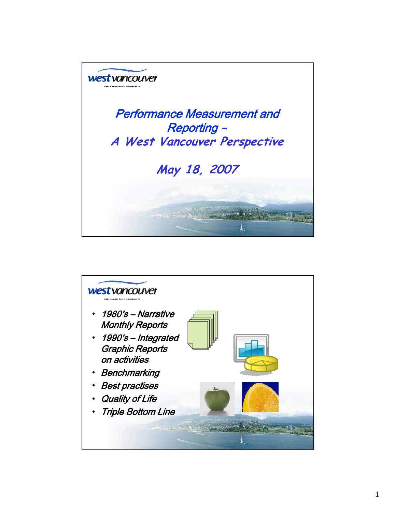

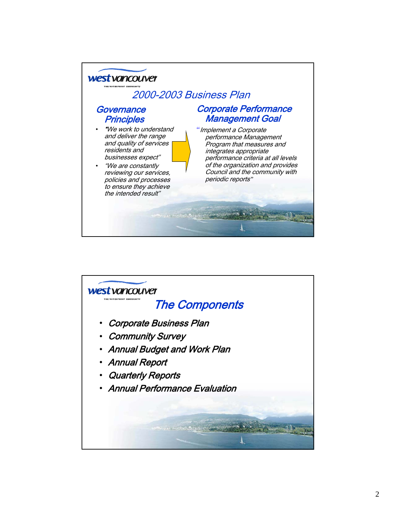

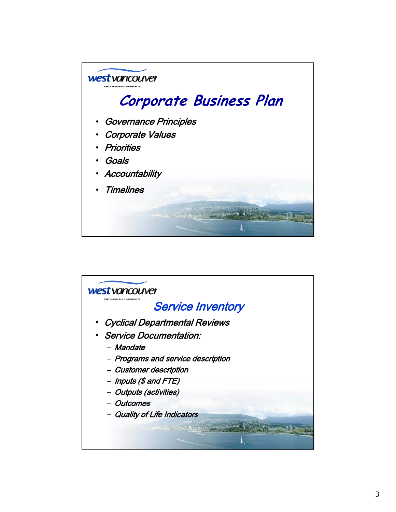

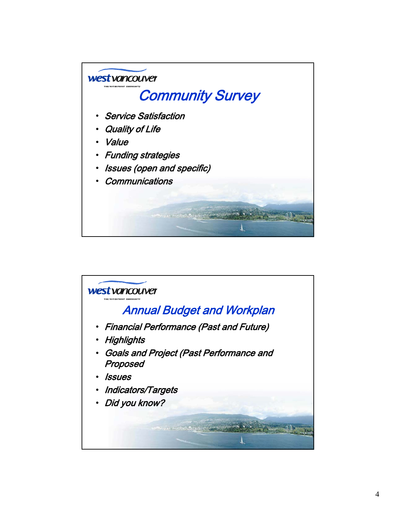

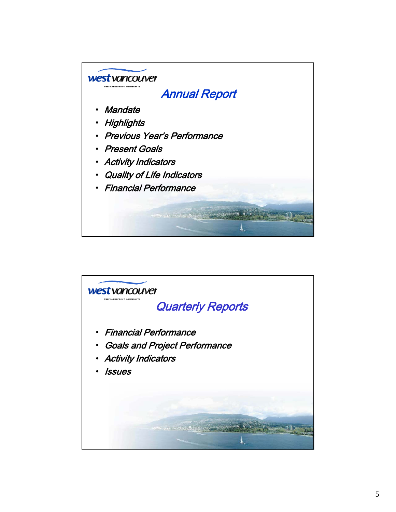